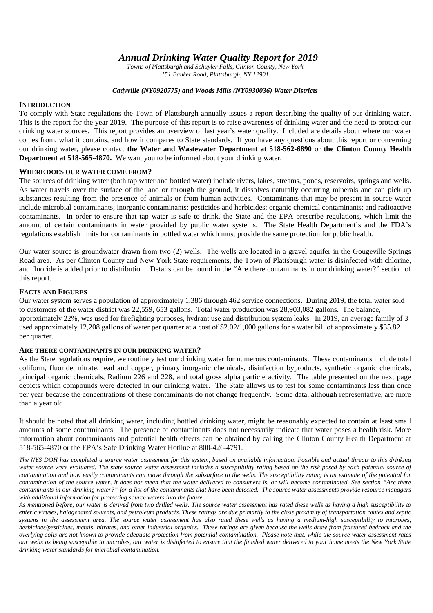*Annual Drinking Water Quality Report for 2019*

*Towns of Plattsburgh and Schuyler Falls, Clinton County, New York 151 Banker Road, Plattsburgh, NY 12901*

### *Cadyville (NY0920775) and Woods Mills (NY0930036) Water Districts*

# **INTRODUCTION**

To comply with State regulations the Town of Plattsburgh annually issues a report describing the quality of our drinking water. This is the report for the year 2019. The purpose of this report is to raise awareness of drinking water and the need to protect our drinking water sources. This report provides an overview of last year's water quality. Included are details about where our water comes from, what it contains, and how it compares to State standards. If you have any questions about this report or concerning our drinking water, please contact **the Water and Wastewater Department at 518-562-6890** or **the Clinton County Health Department at 518-565-4870.** We want you to be informed about your drinking water.

### **WHERE DOES OUR WATER COME FROM?**

The sources of drinking water (both tap water and bottled water) include rivers, lakes, streams, ponds, reservoirs, springs and wells. As water travels over the surface of the land or through the ground, it dissolves naturally occurring minerals and can pick up substances resulting from the presence of animals or from human activities. Contaminants that may be present in source water include microbial contaminants; inorganic contaminants; pesticides and herbicides; organic chemical contaminants; and radioactive contaminants. In order to ensure that tap water is safe to drink, the State and the EPA prescribe regulations, which limit the amount of certain contaminants in water provided by public water systems. The State Health Department's and the FDA's regulations establish limits for contaminants in bottled water which must provide the same protection for public health.

Our water source is groundwater drawn from two (2) wells. The wells are located in a gravel aquifer in the Gougeville Springs Road area. As per Clinton County and New York State requirements, the Town of Plattsburgh water is disinfected with chlorine, and fluoride is added prior to distribution. Details can be found in the "Are there contaminants in our drinking water?" section of this report.

### **FACTS AND FIGURES**

Our water system serves a population of approximately 1,386 through 462 service connections. During 2019, the total water sold to customers of the water district was 22,559, 653 gallons. Total water production was 28,903,082 gallons. The balance, approximately 22%, was used for firefighting purposes, hydrant use and distribution system leaks. In 2019, an average family of 3 used approximately 12,208 gallons of water per quarter at a cost of \$2.02/1,000 gallons for a water bill of approximately \$35.82 per quarter.

# **ARE THERE CONTAMINANTS IN OUR DRINKING WATER?**

As the State regulations require, we routinely test our drinking water for numerous contaminants. These contaminants include total coliform, fluoride, nitrate, lead and copper, primary inorganic chemicals, disinfection byproducts, synthetic organic chemicals, principal organic chemicals, Radium 226 and 228, and total gross alpha particle activity. The table presented on the next page depicts which compounds were detected in our drinking water. The State allows us to test for some contaminants less than once per year because the concentrations of these contaminants do not change frequently. Some data, although representative, are more than a year old.

It should be noted that all drinking water, including bottled drinking water, might be reasonably expected to contain at least small amounts of some contaminants. The presence of contaminants does not necessarily indicate that water poses a health risk. More information about contaminants and potential health effects can be obtained by calling the Clinton County Health Department at 518-565-4870 or the EPA's Safe Drinking Water Hotline at 800-426-4791.

*The NYS DOH has completed a source water assessment for this system, based on available information. Possible and actual threats to this drinking water source were evaluated. The state source water assessment includes a susceptibility rating based on the risk posed by each potential source of contamination and how easily contaminants can move through the subsurface to the wells. The susceptibility rating is an estimate of the potential for contamination of the source water, it does not mean that the water delivered to consumers is, or will become contaminated. See section "Are there contaminants in our drinking water?" for a list of the contaminants that have been detected. The source water assessments provide resource managers with additional information for protecting source waters into the future.*

*As mentioned before, our water is derived from two drilled wells. The source water assessment has rated these wells as having a high susceptibility to enteric viruses, halogenated solvents, and petroleum products. These ratings are due primarily to the close proximity of transportation routes and septic systems in the assessment area. The source water assessment has also rated these wells as having a medium-high susceptibility to microbes, herbicides/pesticides, metals, nitrates, and other industrial organics. These ratings are given because the wells draw from fractured bedrock and the overlying soils are not known to provide adequate protection from potential contamination. Please note that, while the source water assessment rates our wells as being susceptible to microbes, our water is disinfected to ensure that the finished water delivered to your home meets the New York State drinking water standards for microbial contamination.*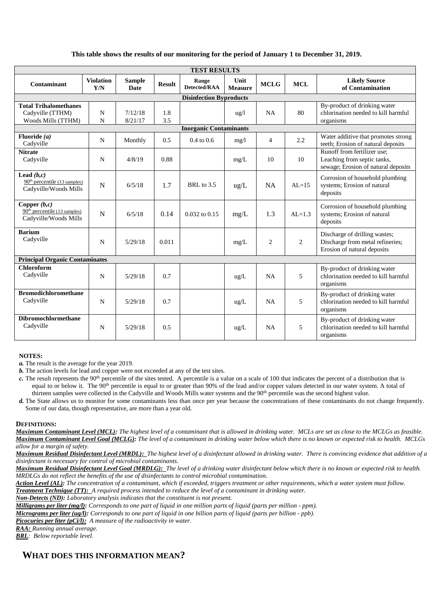# **This table shows the results of our monitoring for the period of January 1 to December 31, 2019.**

| <b>TEST RESULTS</b>                                                       |                         |                              |               |                       |                        |                |            |                                                                                                   |
|---------------------------------------------------------------------------|-------------------------|------------------------------|---------------|-----------------------|------------------------|----------------|------------|---------------------------------------------------------------------------------------------------|
| Contaminant                                                               | <b>Violation</b><br>Y/N | <b>Sample</b><br><b>Date</b> | <b>Result</b> | Range<br>Detected/RAA | Unit<br><b>Measure</b> | <b>MCLG</b>    | <b>MCL</b> | <b>Likely Source</b><br>of Contamination                                                          |
| <b>Disinfection Byproducts</b>                                            |                         |                              |               |                       |                        |                |            |                                                                                                   |
| <b>Total Trihalomethanes</b><br>Cadyville (TTHM)<br>Woods Mills (TTHM)    | N<br>N                  | 7/12/18<br>8/21/17           | 1.8<br>3.5    |                       | $u\,g/l$               | NA             | 80         | By-product of drinking water<br>chlorination needed to kill harmful<br>organisms                  |
| <b>Inorganic Contaminants</b>                                             |                         |                              |               |                       |                        |                |            |                                                                                                   |
| Fluoride $(a)$<br>Cadyville                                               | N                       | Monthly                      | 0.5           | $0.4 \text{ to } 0.6$ | mg/1                   | 4              | 2.2        | Water additive that promotes strong<br>teeth; Erosion of natural deposits                         |
| <b>Nitrate</b><br>Cadyville                                               | N                       | 4/8/19                       | 0.88          |                       | mg/L                   | 10             | 10         | Runoff from fertilizer use:<br>Leaching from septic tanks,<br>sewage; Erosion of natural deposits |
| Lead $(b, c)$<br>$90th$ percentile (13 samples)<br>Cadyville/Woods Mills  | $\mathbf N$             | 6/5/18                       | 1.7           | BRL to 3.5            | ug/L                   | NA             | $AL=15$    | Corrosion of household plumbing<br>systems; Erosion of natural<br>deposits                        |
| Copper $(b,c)$<br>$90th$ percentile (13 samples)<br>Cadyville/Woods Mills | $\mathbf N$             | 6/5/18                       | 0.14          | 0.032 to 0.15         | mg/L                   | 1.3            | $AL=1.3$   | Corrosion of household plumbing<br>systems; Erosion of natural<br>deposits                        |
| <b>Barium</b><br>Cadyville                                                | N                       | 5/29/18                      | 0.011         |                       | mg/L                   | $\overline{2}$ | 2          | Discharge of drilling wastes;<br>Discharge from metal refineries;<br>Erosion of natural deposits  |
| <b>Principal Organic Contaminates</b>                                     |                         |                              |               |                       |                        |                |            |                                                                                                   |
| <b>Chloroform</b><br>Cadyville                                            | $\mathbf N$             | 5/29/18                      | 0.7           |                       | ug/L                   | NA             | 5          | By-product of drinking water<br>chlorination needed to kill harmful<br>organisms                  |
| <b>Bromodichloromethane</b><br>Cadyville                                  | $\mathbf N$             | 5/29/18                      | 0.7           |                       | $\text{ug/L}$          | NA             | 5          | By-product of drinking water<br>chlorination needed to kill harmful<br>organisms                  |
| <b>Dibromochlormethane</b><br>Cadyville                                   | $\mathbf N$             | 5/29/18                      | 0.5           |                       | ug/L                   | NA             | 5          | By-product of drinking water<br>chlorination needed to kill harmful<br>organisms                  |

#### **NOTES:**

*a.* The result is the average for the year 2019.

*b.* The action levels for lead and copper were not exceeded at any of the test sites.

*c*. The result represents the 90<sup>th</sup> percentile of the sites tested. A percentile is a value on a scale of 100 that indicates the percent of a distribution that is equal to or below it. The 90<sup>th</sup> percentile is equal to or greater than 90% of the lead and/or copper values detected in our water system. A total of thirteen samples were collected in the Cadyville and Woods Mills water systems and the 90<sup>th</sup> percentile was the second highest value.

*d.* The State allows us to monitor for some contaminants less than once per year because the concentrations of these contaminants do not change frequently. Some of our data, though representative, are more than a year old.

#### **DEFINITIONS:**

*Maximum Contaminant Level (MCL): The highest level of a contaminant that is allowed in drinking water. MCLs are set as close to the MCLGs as feasible. Maximum Contaminant Level Goal (MCLG): The level of a contaminant in drinking water below which there is no known or expected risk to health. MCLGs allow for a margin of safety.*

*Maximum Residual Disinfectant Level (MRDL): The highest level of a disinfectant allowed in drinking water. There is convincing evidence that addition of a disinfectant is necessary for control of microbial contaminants.*

*Maximum Residual Disinfectant Level Goal (MRDLG): The level of a drinking water disinfectant below which there is no known or expected risk to health. MRDLGs do not reflect the benefits of the use of disinfectants to control microbial contamination.*

*Action Level (AL): The concentration of a contaminant, which if exceeded, triggers treatment or other requirements, which a water system must follow. Treatment Technique (TT): A required process intended to reduce the level of a contaminant in drinking water.*

*Non-Detects (ND): Laboratory analysis indicates that the constituent is not present.*

*Milligrams per liter (mg/l): Corresponds to one part of liquid in one million parts of liquid (parts per million - ppm).*

*Micrograms per liter (ug/l): Corresponds to one part of liquid in one billion parts of liquid (parts per billion - ppb).*

*Picocuries per liter (pCi/l): A measure of the radioactivity in water.*

*RAA: Running annual average.*

*BRL: Below reportable level.*

# **WHAT DOES THIS INFORMATION MEAN?**